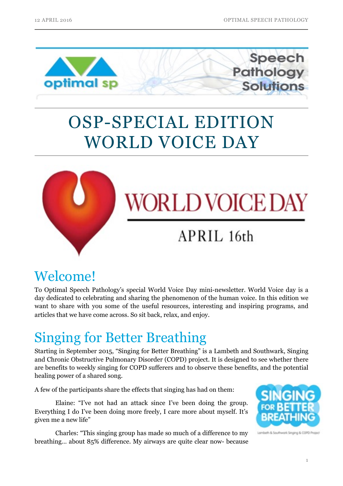**Pathology** 

Solutions

Speech



# OSP-SPECIAL EDITION WORLD VOICE DAY



# **WORLD VOICE DAY**

## APRIL 16th

### Welcome!

To Optimal Speech Pathology's special World Voice Day mini-newsletter. World Voice day is a day dedicated to celebrating and sharing the phenomenon of the human voice. In this edition we want to share with you some of the useful resources, interesting and inspiring programs, and articles that we have come across. So sit back, relax, and enjoy.

### Singing for Better Breathing

Starting in September 2015, "Singing for Better Breathing" is a Lambeth and Southwark, Singing and Chronic Obstructive Pulmonary Disorder (COPD) project. It is designed to see whether there are benefits to weekly singing for COPD sufferers and to observe these benefits, and the potential healing power of a shared song.

A few of the participants share the effects that singing has had on them:

 Elaine: "I've not had an attack since I've been doing the group. Everything I do I've been doing more freely, I care more about myself. It's given me a new life"

 Charles: "This singing group has made so much of a difference to my breathing… about 85% difference. My airways are quite clear now- because

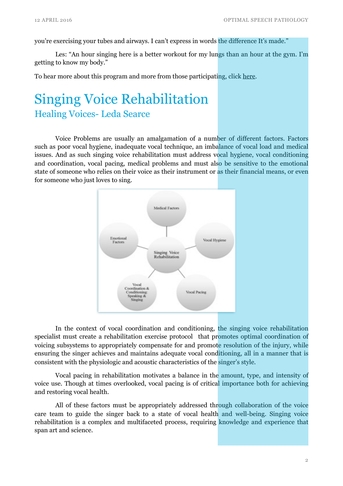you're exercising your tubes and airways. I can't express in words the difference It's made."

Les: "An hour singing here is a better workout for my lungs than an hour at the gym. I'm getting to know my body."

To hear more about this program and more from those participating, click [here.](https://www.youtube.com/watch?v=hA99GXB3GZw&feature=youtu.be)

### Singing Voice Rehabilitation Healing Voices- Leda Searce

 Voice Problems are usually an amalgamation of a number of different factors. Factors such as poor vocal hygiene, inadequate vocal technique, an imbalance of vocal load and medical issues. And as such singing voice rehabilitation must address vocal hygiene, vocal conditioning and coordination, vocal pacing, medical problems and must also be sensitive to the emotional state of someone who relies on their voice as their instrument or as their financial means, or even for someone who just loves to sing.



 In the context of vocal coordination and conditioning, the singing voice rehabilitation specialist must create a rehabilitation exercise protocol that promotes optimal coordination of voicing subsystems to appropriately compensate for and promote resolution of the injury, while ensuring the singer achieves and maintains adequate vocal conditioning, all in a manner that is consistent with the physiologic and acoustic characteristics of the singer's style.

 Vocal pacing in rehabilitation motivates a balance in the amount, type, and intensity of voice use. Though at times overlooked, vocal pacing is of critical importance both for achieving and restoring vocal health.

 All of these factors must be appropriately addressed through collaboration of the voice care team to guide the singer back to a state of vocal health and well-being. Singing voice rehabilitation is a complex and multifaceted process, requiring knowledge and experience that span art and science.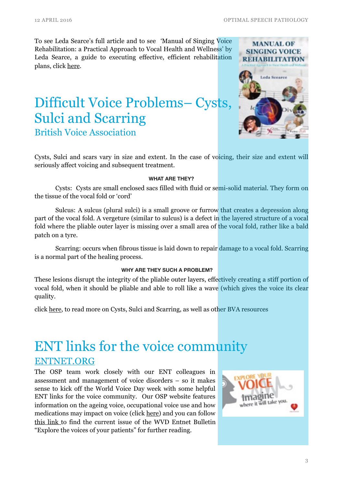To see Leda Searce's full article and to see 'Manual of Singing Voice Rehabilitation: a Practical Approach to Vocal Health and Wellness' by Leda Searce, a guide to executing effective, efficient rehabilitation plans, click [here](http://www.pluralpublishing.com/wp/?p=2454).

### Difficult Voice Problems– Cysts, Sulci and Scarring British Voice Association



Cysts, Sulci and scars vary in size and extent. In the case of voicing, their size and extent will seriously affect voicing and subsequent treatment.

#### **WHAT ARE THEY?**

 Cysts: Cysts are small enclosed sacs filled with fluid or semi-solid material. They form on the tissue of the vocal fold or 'cord'

 Sulcus: A sulcus (plural sulci) is a small groove or furrow that creates a depression along part of the vocal fold. A vergeture (similar to sulcus) is a defect in the layered structure of a vocal fold where the pliable outer layer is missing over a small area of the vocal fold, rather like a bald patch on a tyre.

 Scarring: occurs when fibrous tissue is laid down to repair damage to a vocal fold. Scarring is a normal part of the healing process.

#### **WHY ARE THEY SUCH A PROBLEM?**

These lesions disrupt the integrity of the pliable outer layers, effectively creating a stiff portion of vocal fold, when it should be pliable and able to roll like a wave (which gives the voice its clear quality.

click [here](http://optimalsp.com.au/our-services/voice-disorders/), to read more on Cysts, Sulci and Scarring, as well as other BVA resources

### ENT links for the voice community [ENTNET.ORG](http://ENTNET.ORG)

The OSP team work closely with our ENT colleagues in assessment and management of voice disorders – so it makes sense to kick off the World Voice Day week with some helpful ENT links for the voice community. Our OSP website features information on the ageing voice, occupational voice use and how medications may impact on voice (click [here](http://optimalsp.com.au/our-services/voice-disorders/)) and you can follow [this link to find the current issue of the WVD Entnet Bulletin](http://www.apple.com) "Explore the voices of your patients" for further reading.